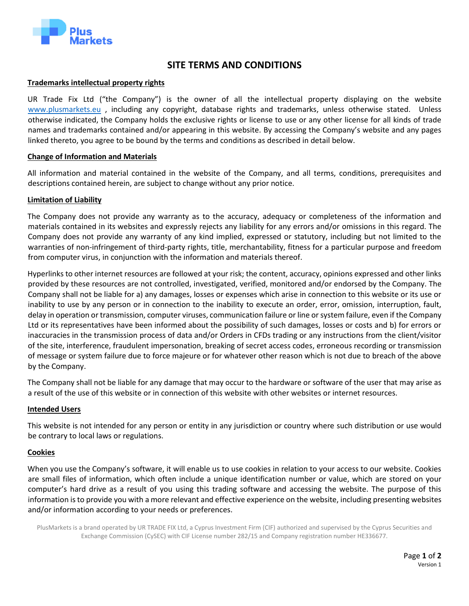

# **SITE TERMS AND CONDITIONS**

# **Trademarks intellectual property rights**

UR Trade Fix Ltd ("the Company") is the owner of all the intellectual property displaying on the website [www.plusmarkets.eu](http://www.plusmarkets.eu/) , including any copyright, database rights and trademarks, unless otherwise stated. Unless otherwise indicated, the Company holds the exclusive rights or license to use or any other license for all kinds of trade names and trademarks contained and/or appearing in this website. By accessing the Company's website and any pages linked thereto, you agree to be bound by the terms and conditions as described in detail below.

# **Change of Information and Materials**

All information and material contained in the website of the Company, and all terms, conditions, prerequisites and descriptions contained herein, are subject to change without any prior notice.

# **Limitation of Liability**

The Company does not provide any warranty as to the accuracy, adequacy or completeness of the information and materials contained in its websites and expressly rejects any liability for any errors and/or omissions in this regard. The Company does not provide any warranty of any kind implied, expressed or statutory, including but not limited to the warranties of non-infringement of third-party rights, title, merchantability, fitness for a particular purpose and freedom from computer virus, in conjunction with the information and materials thereof.

Hyperlinks to other internet resources are followed at your risk; the content, accuracy, opinions expressed and other links provided by these resources are not controlled, investigated, verified, monitored and/or endorsed by the Company. The Company shall not be liable for a) any damages, losses or expenses which arise in connection to this website or its use or inability to use by any person or in connection to the inability to execute an order, error, omission, interruption, fault, delay in operation or transmission, computer viruses, communication failure or line or system failure, even if the Company Ltd or its representatives have been informed about the possibility of such damages, losses or costs and b) for errors or inaccuracies in the transmission process of data and/or Orders in CFDs trading or any instructions from the client/visitor of the site, interference, fraudulent impersonation, breaking of secret access codes, erroneous recording or transmission of message or system failure due to force majeure or for whatever other reason which is not due to breach of the above by the Company.

The Company shall not be liable for any damage that may occur to the hardware or software of the user that may arise as a result of the use of this website or in connection of this website with other websites or internet resources.

#### **Intended Users**

This website is not intended for any person or entity in any jurisdiction or country where such distribution or use would be contrary to local laws or regulations.

# **Cookies**

When you use the Company's software, it will enable us to use cookies in relation to your access to our website. Cookies are small files of information, which often include a unique identification number or value, which are stored on your computer's hard drive as a result of you using this trading software and accessing the website. The purpose of this information is to provide you with a more relevant and effective experience on the website, including presenting websites and/or information according to your needs or preferences.

PlusMarkets is a brand operated by UR TRADE FIX Ltd, a Cyprus Investment Firm (CIF) authorized and supervised by the Cyprus Securities and Exchange Commission (CySEC) with CIF License number 282/15 and Company registration number HE336677.